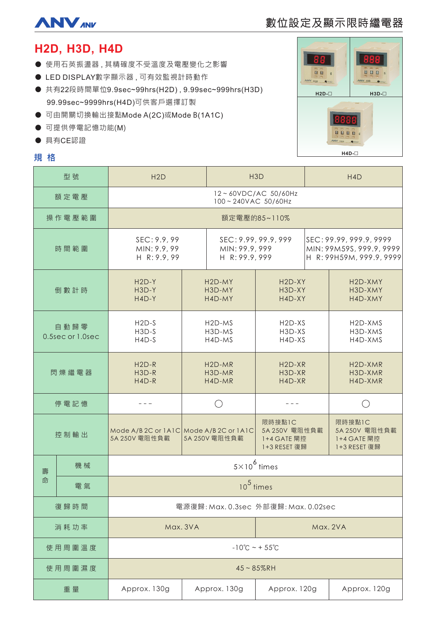

# 數位設定及顯示限時繼電器

# **H2D, H3D, H4D**

- 使用石英振盪器,其精確度不受溫度及電壓變化之影響
- LED DISPLAY數字顯示器,可有效監視計時動作
- 共有22段時間單位9.9sec~99hrs(H2D), 9.99sec~999hrs(H3D) 99.99sec~9999hrs(H4D)可供客戶選擇訂製
- 可由開關切換輸出接點Mode A(2C)或Mode B(1A1C)
- 可提供停電記憶功能(M)
- 具有CE認證

# **規格**



| 型號                       |    | H2D                                                      |                                         | H <sub>3</sub> D                                         |                                                        | H <sub>4</sub> D                                                                |                                                        |
|--------------------------|----|----------------------------------------------------------|-----------------------------------------|----------------------------------------------------------|--------------------------------------------------------|---------------------------------------------------------------------------------|--------------------------------------------------------|
| 額定電壓                     |    | 12~60VDC/AC 50/60Hz<br>100~240VAC 50/60Hz                |                                         |                                                          |                                                        |                                                                                 |                                                        |
| 操作電壓範圍                   |    | 額定電壓的85~110%                                             |                                         |                                                          |                                                        |                                                                                 |                                                        |
| 時間範圍                     |    | SEC: 9.9, 99<br>MIN: 9.9, 99<br>H R: 9.9, 99             |                                         | SEC: 9.99, 99.9, 999<br>MIN: 99.9, 999<br>H R: 99.9, 999 |                                                        | SEC: 99.99, 999.9, 9999<br>MIN: 99M59S, 999.9, 9999<br>H R: 99H59M, 999.9, 9999 |                                                        |
| 倒數計時                     |    | $H2D-Y$<br>H3D-Y<br>$H4D-Y$                              | H <sub>2</sub> D-MY<br>H3D-MY<br>H4D-MY |                                                          | H <sub>2</sub> D-XY<br>H3D-XY<br>H4D-XY                |                                                                                 | H <sub>2</sub> D-XMY<br>H3D-XMY<br>H4D-XMY             |
| 自動歸零<br>0.5sec or 1.0sec |    | $H2D-S$<br>$H3D-S$<br>$H4D-S$                            | H <sub>2</sub> D-MS<br>H3D-MS<br>H4D-MS |                                                          | H <sub>2</sub> D-X <sub>S</sub><br>H3D-XS<br>H4D-XS    |                                                                                 | H <sub>2</sub> D-XMS<br>H3D-XMS<br>H4D-XMS             |
| 閃爍繼電器                    |    | $H2D-R$<br>H3D-R<br>$H4D-R$                              | H <sub>2</sub> D-MR<br>H3D-MR<br>H4D-MR |                                                          | $H2D-XR$<br>H3D-XR<br>H4D-XR                           |                                                                                 | H <sub>2</sub> D-XMR<br>H3D-XMR<br>H4D-XMR             |
| 停電記憶                     |    |                                                          |                                         |                                                          |                                                        |                                                                                 | $($ )                                                  |
| 控制輸出                     |    | Mode A/B 2C or 1A1C Mode A/B 2C or 1A1C<br>5A 250V 電阻性負載 |                                         | 5A 250V 電阻性負載                                            | 限時接點1C<br>5A 250V 電阻性負載<br>1+4 GATE 閘控<br>1+3 RESET 復歸 |                                                                                 | 限時接點1C<br>5A 250V 電阻性負載<br>1+4 GATE 閘控<br>1+3 RESET 復歸 |
| 壽                        | 機械 |                                                          | $5\times10^6$ times                     |                                                          |                                                        |                                                                                 |                                                        |
| 命                        | 電氣 | $105$ times                                              |                                         |                                                          |                                                        |                                                                                 |                                                        |
| 復歸時間                     |    | 電源復歸: Max. 0.3sec 外部復歸: Max. 0.02sec                     |                                         |                                                          |                                                        |                                                                                 |                                                        |
| 消耗功率                     |    | Max. 3VA                                                 |                                         |                                                          |                                                        |                                                                                 | Max. 2VA                                               |
| 使用周圍溫度                   |    | $-10^{\circ}$ C ~ + 55 $^{\circ}$ C                      |                                         |                                                          |                                                        |                                                                                 |                                                        |
| 使用周圍濕度                   |    | $45 - 85%$ RH                                            |                                         |                                                          |                                                        |                                                                                 |                                                        |
| 重量                       |    | Approx. 130g                                             |                                         | Approx. 130g                                             | Approx. 120g                                           |                                                                                 | Approx. 120g                                           |